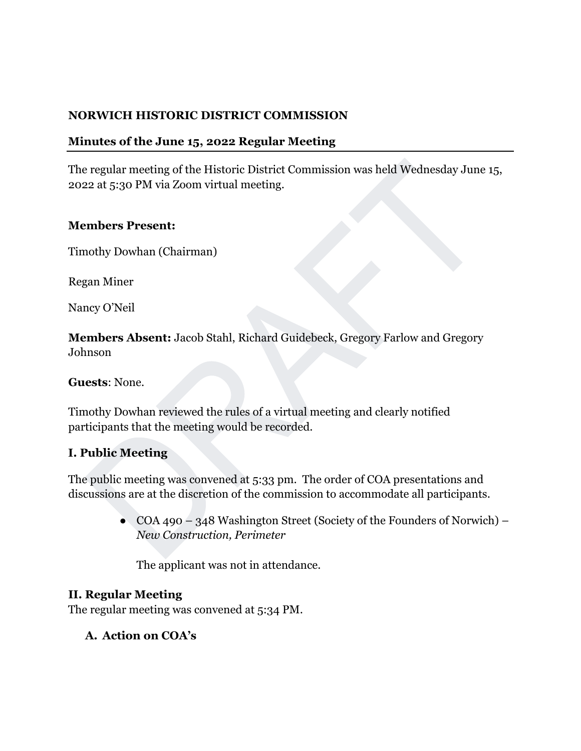### **NORWICH HISTORIC DISTRICT COMMISSION**

### **Minutes of the June 15, 2022 Regular Meeting**

The regular meeting of the Historic District Commission was held Wednesday June 15, 2022 at 5:30 PM via Zoom virtual meeting.

#### **Members Present:**

Timothy Dowhan (Chairman)

Regan Miner

Nancy O'Neil

**Members Absent:** Jacob Stahl, Richard Guidebeck, Gregory Farlow and Gregory Johnson

**Guests**: None.

Timothy Dowhan reviewed the rules of a virtual meeting and clearly notified participants that the meeting would be recorded.

### **I. Public Meeting**

The public meeting was convened at 5:33 pm. The order of COA presentations and discussions are at the discretion of the commission to accommodate all participants.

> • COA 490 – 348 Washington Street (Society of the Founders of Norwich) – *New Construction, Perimeter*

The applicant was not in attendance.

### **II. Regular Meeting**

The regular meeting was convened at 5:34 PM.

**A. Action on COA's**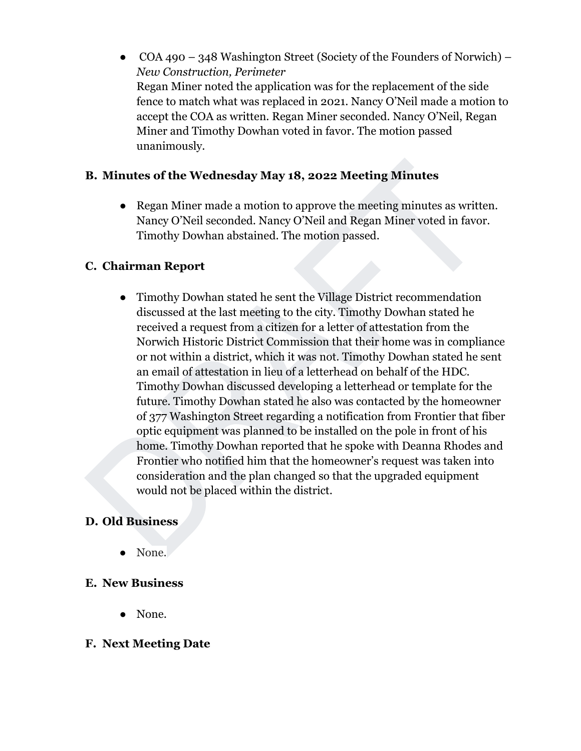COA 490 – 348 Washington Street (Society of the Founders of Norwich) – *New Construction, Perimeter*  Regan Miner noted the application was for the replacement of the side fence to match what was replaced in 2021. Nancy O'Neil made a motion to accept the COA as written. Regan Miner seconded. Nancy O'Neil, Regan Miner and Timothy Dowhan voted in favor. The motion passed unanimously.

### **B. Minutes of the Wednesday May 18, 2022 Meeting Minutes**

● Regan Miner made a motion to approve the meeting minutes as written. Nancy O'Neil seconded. Nancy O'Neil and Regan Miner voted in favor. Timothy Dowhan abstained. The motion passed.

## **C. Chairman Report**

● Timothy Dowhan stated he sent the Village District recommendation discussed at the last meeting to the city. Timothy Dowhan stated he received a request from a citizen for a letter of attestation from the Norwich Historic District Commission that their home was in compliance or not within a district, which it was not. Timothy Dowhan stated he sent an email of attestation in lieu of a letterhead on behalf of the HDC. Timothy Dowhan discussed developing a letterhead or template for the future. Timothy Dowhan stated he also was contacted by the homeowner of 377 Washington Street regarding a notification from Frontier that fiber optic equipment was planned to be installed on the pole in front of his home. Timothy Dowhan reported that he spoke with Deanna Rhodes and Frontier who notified him that the homeowner's request was taken into consideration and the plan changed so that the upgraded equipment would not be placed within the district.

## **D. Old Business**

● None.

### **E. New Business**

● None.

### **F. Next Meeting Date**